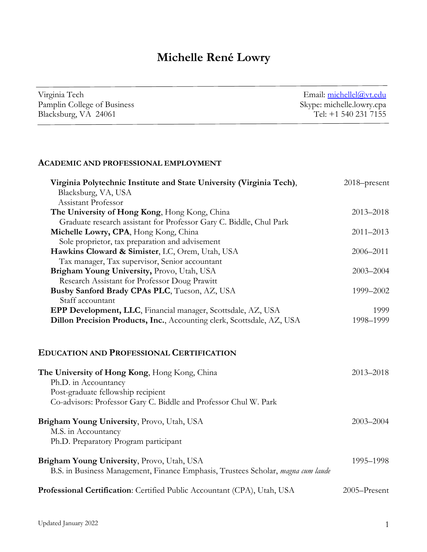# **Michelle René Lowry**

| Virginia Tech               | Email: michellel@vt.edu   |
|-----------------------------|---------------------------|
| Pamplin College of Business | Skype: michelle.lowry.cpa |
| Blacksburg, VA 24061        | Tel: $+1$ 540 231 7155    |

## **ACADEMIC AND PROFESSIONAL EMPLOYMENT**

| 2018–present  |
|---------------|
|               |
|               |
| 2013-2018     |
|               |
| 2011-2013     |
|               |
| 2006-2011     |
|               |
| $2003 - 2004$ |
|               |
| 1999-2002     |
|               |
| 1999          |
| 1998-1999     |
|               |
| 2013-2018     |
|               |
|               |
|               |
| 2003-2004     |
|               |
|               |
| 1995-1998     |
|               |
|               |
|               |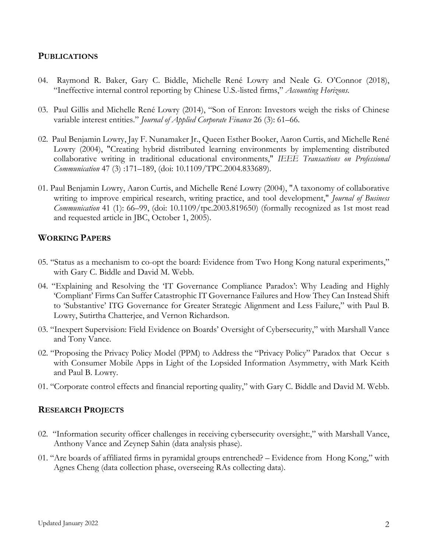#### **PUBLICATIONS**

- 04. Raymond R. Baker, Gary C. Biddle, Michelle René Lowry and Neale G. O'Connor (2018), "Ineffective internal control reporting by Chinese U.S.-listed firms," *Accounting Horizons*.
- 03. Paul Gillis and Michelle René Lowry (2014), "Son of Enron: Investors weigh the risks of Chinese variable interest entities." *Journal of Applied Corporate Finance* 26 (3): 61–66.
- 02. Paul Benjamin Lowry, Jay F. Nunamaker Jr., Queen Esther Booker, Aaron Curtis, and Michelle René Lowry (2004), "Creating hybrid distributed learning environments by implementing distributed collaborative writing in traditional educational environments," *IEEE Transactions on Professional Communication* 47 (3) :171–189, (doi: 10.1109/TPC.2004.833689).
- 01. Paul Benjamin Lowry, Aaron Curtis, and Michelle René Lowry (2004), "A taxonomy of collaborative writing to improve empirical research, writing practice, and tool development," *Journal of Business Communication* 41 (1): 66–99, (doi: 10.1109/tpc.2003.819650) (formally recognized as 1st most read and requested article in JBC, October 1, 2005).

## **WORKING PAPERS**

- 05. "Status as a mechanism to co-opt the board: Evidence from Two Hong Kong natural experiments," with Gary C. Biddle and David M. Webb.
- 04. "Explaining and Resolving the 'IT Governance Compliance Paradox': Why Leading and Highly 'Compliant' Firms Can Suffer Catastrophic IT Governance Failures and How They Can Instead Shift to 'Substantive' ITG Governance for Greater Strategic Alignment and Less Failure," with Paul B. Lowry, Sutirtha Chatterjee, and Vernon Richardson.
- 03. "Inexpert Supervision: Field Evidence on Boards' Oversight of Cybersecurity," with Marshall Vance and Tony Vance.
- 02. "Proposing the Privacy Policy Model (PPM) to Address the "Privacy Policy" Paradox that Occur s with Consumer Mobile Apps in Light of the Lopsided Information Asymmetry, with Mark Keith and Paul B. Lowry.
- 01. "Corporate control effects and financial reporting quality," with Gary C. Biddle and David M. Webb.

#### **RESEARCH PROJECTS**

- 02. "Information security officer challenges in receiving cybersecurity oversight:," with Marshall Vance, Anthony Vance and Zeynep Sahin (data analysis phase).
- 01. "Are boards of affiliated firms in pyramidal groups entrenched? Evidence from Hong Kong," with Agnes Cheng (data collection phase, overseeing RAs collecting data).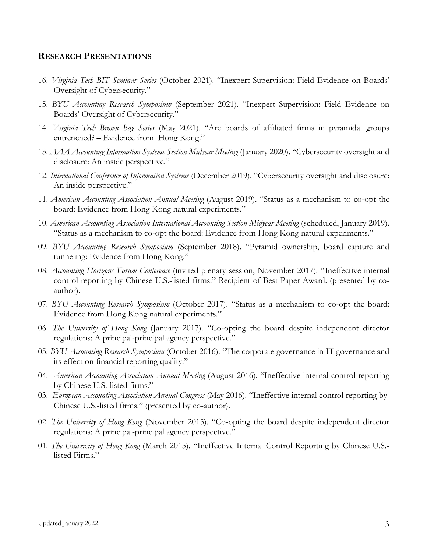#### **RESEARCH PRESENTATIONS**

- 16. *Virginia Tech BIT Seminar Series* (October 2021). "Inexpert Supervision: Field Evidence on Boards' Oversight of Cybersecurity."
- 15. *BYU Accounting Research Symposium* (September 2021). "Inexpert Supervision: Field Evidence on Boards' Oversight of Cybersecurity."
- 14. *Virginia Tech Brown Bag Series* (May 2021). "Are boards of affiliated firms in pyramidal groups entrenched? – Evidence from Hong Kong."
- 13. *AAA Accounting Information Systems Section Midyear Meeting* (January 2020). "Cybersecurity oversight and disclosure: An inside perspective."
- 12. *International Conference of Information Systems* (December 2019). "Cybersecurity oversight and disclosure: An inside perspective."
- 11. *American Accounting Association Annual Meeting* (August 2019). "Status as a mechanism to co-opt the board: Evidence from Hong Kong natural experiments."
- 10. *American Accounting Association International Accounting Section Midyear Meeting* (scheduled, January 2019). "Status as a mechanism to co-opt the board: Evidence from Hong Kong natural experiments."
- 09. *BYU Accounting Research Symposium* (September 2018). "Pyramid ownership, board capture and tunneling: Evidence from Hong Kong."
- 08. *Accounting Horizons Forum Conference* (invited plenary session, November 2017). "Ineffective internal control reporting by Chinese U.S.-listed firms." Recipient of Best Paper Award. (presented by coauthor).
- 07. *BYU Accounting Research Symposium* (October 2017). "Status as a mechanism to co-opt the board: Evidence from Hong Kong natural experiments."
- 06. *The University of Hong Kong* (January 2017). "Co-opting the board despite independent director regulations: A principal-principal agency perspective."
- 05. *BYU Accounting Research Symposium* (October 2016). "The corporate governance in IT governance and its effect on financial reporting quality."
- 04. *American Accounting Association Annual Meeting* (August 2016). "Ineffective internal control reporting by Chinese U.S.-listed firms."
- 03. *European Accounting Association Annual Congress* (May 2016). "Ineffective internal control reporting by Chinese U.S.-listed firms." (presented by co-author).
- 02. *The University of Hong Kong* (November 2015). "Co-opting the board despite independent director regulations: A principal-principal agency perspective."
- 01. *The University of Hong Kong* (March 2015). "Ineffective Internal Control Reporting by Chinese U.S. listed Firms."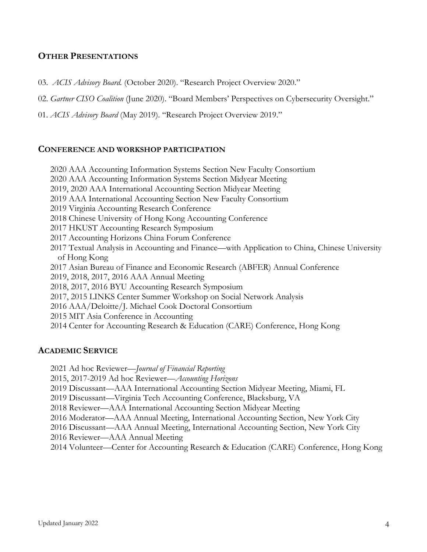#### **OTHER PRESENTATIONS**

03. *ACIS Advisory Board.* (October 2020). "Research Project Overview 2020."

02. *Gartner CISO Coalition* (June 2020). "Board Members' Perspectives on Cybersecurity Oversight."

01. *ACIS Advisory Board* (May 2019). "Research Project Overview 2019."

#### **CONFERENCE AND WORKSHOP PARTICIPATION**

2020 AAA Accounting Information Systems Section New Faculty Consortium 2020 AAA Accounting Information Systems Section Midyear Meeting 2019, 2020 AAA International Accounting Section Midyear Meeting 2019 AAA International Accounting Section New Faculty Consortium 2019 Virginia Accounting Research Conference 2018 Chinese University of Hong Kong Accounting Conference 2017 HKUST Accounting Research Symposium 2017 Accounting Horizons China Forum Conference 2017 Textual Analysis in Accounting and Finance—with Application to China, Chinese University of Hong Kong 2017 Asian Bureau of Finance and Economic Research (ABFER) Annual Conference 2019, 2018, 2017, 2016 AAA Annual Meeting 2018, 2017, 2016 BYU Accounting Research Symposium 2017, 2015 LINKS Center Summer Workshop on Social Network Analysis 2016 AAA/Deloitte/J. Michael Cook Doctoral Consortium 2015 MIT Asia Conference in Accounting 2014 Center for Accounting Research & Education (CARE) Conference, Hong Kong

#### **ACADEMIC SERVICE**

2021 Ad hoc Reviewer—*Journal of Financial Reporting*

2015, 2017-2019 Ad hoc Reviewer—*Accounting Horizons*

2019 Discussant—AAA International Accounting Section Midyear Meeting, Miami, FL

2019 Discussant—Virginia Tech Accounting Conference, Blacksburg, VA

2018 Reviewer—AAA International Accounting Section Midyear Meeting

2016 Moderator—AAA Annual Meeting, International Accounting Section, New York City

2016 Discussant—AAA Annual Meeting, International Accounting Section, New York City

2016 Reviewer—AAA Annual Meeting

2014 Volunteer—Center for Accounting Research & Education (CARE) Conference, Hong Kong